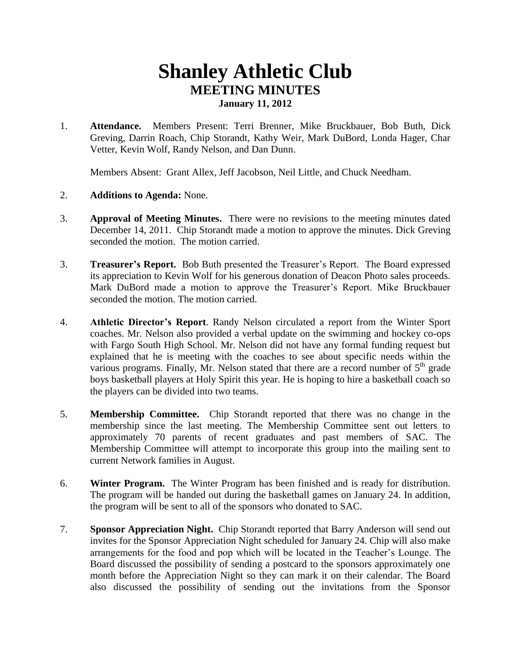## **Shanley Athletic Club MEETING MINUTES January 11, 2012**

1. **Attendance.** Members Present: Terri Brenner, Mike Bruckbauer, Bob Buth, Dick Greving, Darrin Roach, Chip Storandt, Kathy Weir, Mark DuBord, Londa Hager, Char Vetter, Kevin Wolf, Randy Nelson, and Dan Dunn.

Members Absent: Grant Allex, Jeff Jacobson, Neil Little, and Chuck Needham.

- 2. **Additions to Agenda:** None.
- 3. **Approval of Meeting Minutes.** There were no revisions to the meeting minutes dated December 14, 2011. Chip Storandt made a motion to approve the minutes. Dick Greving seconded the motion. The motion carried.
- 3. **Treasurer's Report.** Bob Buth presented the Treasurer's Report. The Board expressed its appreciation to Kevin Wolf for his generous donation of Deacon Photo sales proceeds. Mark DuBord made a motion to approve the Treasurer's Report. Mike Bruckbauer seconded the motion. The motion carried.
- 4. **Athletic Director's Report**. Randy Nelson circulated a report from the Winter Sport coaches. Mr. Nelson also provided a verbal update on the swimming and hockey co-ops with Fargo South High School. Mr. Nelson did not have any formal funding request but explained that he is meeting with the coaches to see about specific needs within the various programs. Finally, Mr. Nelson stated that there are a record number of  $5<sup>th</sup>$  grade boys basketball players at Holy Spirit this year. He is hoping to hire a basketball coach so the players can be divided into two teams.
- 5. **Membership Committee.** Chip Storandt reported that there was no change in the membership since the last meeting. The Membership Committee sent out letters to approximately 70 parents of recent graduates and past members of SAC. The Membership Committee will attempt to incorporate this group into the mailing sent to current Network families in August.
- 6. **Winter Program.** The Winter Program has been finished and is ready for distribution. The program will be handed out during the basketball games on January 24. In addition, the program will be sent to all of the sponsors who donated to SAC.
- 7. **Sponsor Appreciation Night.** Chip Storandt reported that Barry Anderson will send out invites for the Sponsor Appreciation Night scheduled for January 24. Chip will also make arrangements for the food and pop which will be located in the Teacher's Lounge. The Board discussed the possibility of sending a postcard to the sponsors approximately one month before the Appreciation Night so they can mark it on their calendar. The Board also discussed the possibility of sending out the invitations from the Sponsor